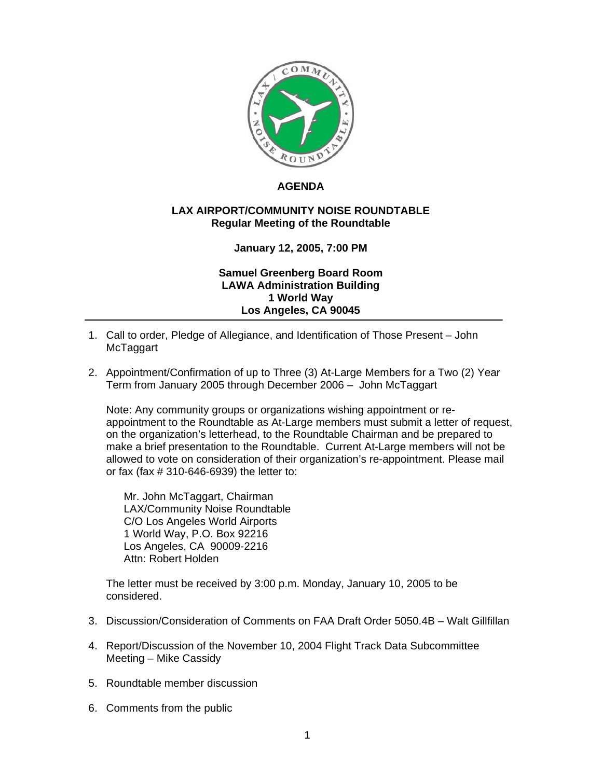

## **AGENDA**

## **LAX AIRPORT/COMMUNITY NOISE ROUNDTABLE Regular Meeting of the Roundtable**

## **January 12, 2005, 7:00 PM**

**Samuel Greenberg Board Room LAWA Administration Building 1 World Way Los Angeles, CA 90045** 

- 1. Call to order, Pledge of Allegiance, and Identification of Those Present John McTaggart
- 2. Appointment/Confirmation of up to Three (3) At-Large Members for a Two (2) Year Term from January 2005 through December 2006 – John McTaggart

Note: Any community groups or organizations wishing appointment or reappointment to the Roundtable as At-Large members must submit a letter of request, on the organization's letterhead, to the Roundtable Chairman and be prepared to make a brief presentation to the Roundtable. Current At-Large members will not be allowed to vote on consideration of their organization's re-appointment. Please mail or fax (fax # 310-646-6939) the letter to:

Mr. John McTaggart, Chairman LAX/Community Noise Roundtable C/O Los Angeles World Airports 1 World Way, P.O. Box 92216 Los Angeles, CA 90009-2216 Attn: Robert Holden

The letter must be received by 3:00 p.m. Monday, January 10, 2005 to be considered.

- 3. Discussion/Consideration of Comments on FAA Draft Order 5050.4B Walt Gillfillan
- 4. Report/Discussion of the November 10, 2004 Flight Track Data Subcommittee Meeting – Mike Cassidy
- 5. Roundtable member discussion
- 6. Comments from the public